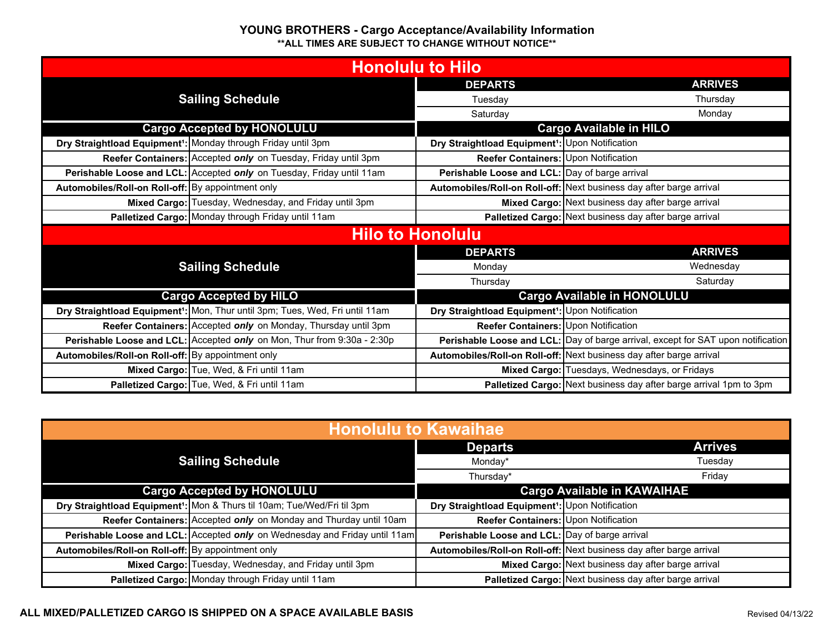| <b>Honolulu to Hilo</b>                           |                                                                                          |                                                             |                                                                                  |
|---------------------------------------------------|------------------------------------------------------------------------------------------|-------------------------------------------------------------|----------------------------------------------------------------------------------|
|                                                   |                                                                                          | <b>DEPARTS</b>                                              | <b>ARRIVES</b>                                                                   |
| <b>Sailing Schedule</b>                           |                                                                                          | Tuesday                                                     | Thursday                                                                         |
|                                                   |                                                                                          | Saturday                                                    | Monday                                                                           |
| <b>Cargo Accepted by HONOLULU</b>                 |                                                                                          |                                                             | <b>Cargo Available in HILO</b>                                                   |
|                                                   | Dry Straightload Equipment <sup>1</sup> : Monday through Friday until 3pm                | Dry Straightload Equipment <sup>1</sup> : Upon Notification |                                                                                  |
|                                                   | Reefer Containers: Accepted only on Tuesday, Friday until 3pm                            | Reefer Containers: Upon Notification                        |                                                                                  |
|                                                   | Perishable Loose and LCL: Accepted only on Tuesday, Friday until 11am                    | Perishable Loose and LCL: Day of barge arrival              |                                                                                  |
| Automobiles/Roll-on Roll-off: By appointment only |                                                                                          |                                                             | Automobiles/Roll-on Roll-off: Next business day after barge arrival              |
|                                                   | Mixed Cargo: Tuesday, Wednesday, and Friday until 3pm                                    |                                                             | Mixed Cargo: Next business day after barge arrival                               |
|                                                   | Palletized Cargo: Monday through Friday until 11am                                       |                                                             | Palletized Cargo: Next business day after barge arrival                          |
|                                                   | <b>Hilo to Honolulu</b>                                                                  |                                                             |                                                                                  |
| <b>Sailing Schedule</b>                           |                                                                                          | <b>DEPARTS</b>                                              | <b>ARRIVES</b>                                                                   |
|                                                   |                                                                                          | Monday                                                      | Wednesday                                                                        |
|                                                   |                                                                                          | Thursday                                                    | Saturday                                                                         |
|                                                   | <b>Cargo Accepted by HILO</b>                                                            |                                                             | <b>Cargo Available in HONOLULU</b>                                               |
|                                                   | Dry Straightload Equipment <sup>1</sup> : Mon, Thur until 3pm; Tues, Wed, Fri until 11am | Dry Straightload Equipment <sup>1</sup> : Upon Notification |                                                                                  |
|                                                   | Reefer Containers: Accepted only on Monday, Thursday until 3pm                           | Reefer Containers: Upon Notification                        |                                                                                  |
|                                                   | Perishable Loose and LCL: Accepted only on Mon, Thur from 9:30a - 2:30p                  |                                                             | Perishable Loose and LCL: Day of barge arrival, except for SAT upon notification |
| Automobiles/Roll-on Roll-off: By appointment only |                                                                                          |                                                             | Automobiles/Roll-on Roll-off: Next business day after barge arrival              |
|                                                   | Mixed Cargo: Tue, Wed, & Fri until 11am                                                  |                                                             | Mixed Cargo: Tuesdays, Wednesdays, or Fridays                                    |
|                                                   | Palletized Cargo: Tue, Wed, & Fri until 11am                                             |                                                             | Palletized Cargo: Next business day after barge arrival 1pm to 3pm               |

| <b>Honolulu to Kawaihae</b>                                                         |                                                             |                                                                     |  |
|-------------------------------------------------------------------------------------|-------------------------------------------------------------|---------------------------------------------------------------------|--|
|                                                                                     | <b>Departs</b>                                              | <b>Arrives</b>                                                      |  |
| <b>Sailing Schedule</b>                                                             | Monday*                                                     | Tuesday                                                             |  |
|                                                                                     | Thursdav*                                                   | Friday                                                              |  |
| <b>Cargo Accepted by HONOLULU</b>                                                   | <b>Cargo Available in KAWAIHAE</b>                          |                                                                     |  |
| Dry Straightload Equipment <sup>1</sup> : Mon & Thurs til 10am; Tue/Wed/Fri til 3pm | Dry Straightload Equipment <sup>1</sup> : Upon Notification |                                                                     |  |
| Reefer Containers: Accepted only on Monday and Thurday until 10am                   | Reefer Containers: Upon Notification                        |                                                                     |  |
| Perishable Loose and LCL: Accepted only on Wednesday and Friday until 11am          | Perishable Loose and LCL: Day of barge arrival              |                                                                     |  |
| Automobiles/Roll-on Roll-off: By appointment only                                   |                                                             | Automobiles/Roll-on Roll-off: Next business day after barge arrival |  |
| Mixed Cargo: Tuesday, Wednesday, and Friday until 3pm                               |                                                             | Mixed Cargo: Next business day after barge arrival                  |  |
| Palletized Cargo: Monday through Friday until 11am                                  |                                                             | Palletized Cargo: Next business day after barge arrival             |  |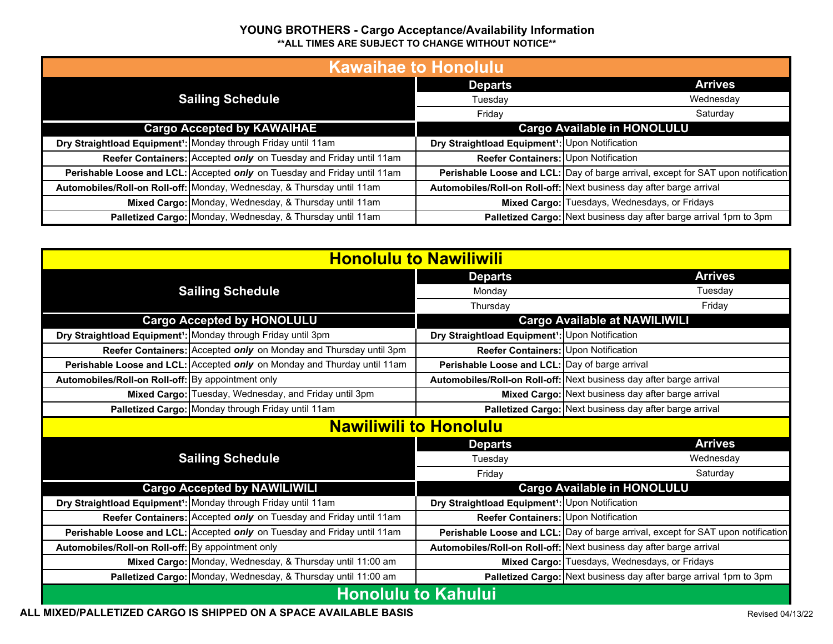| <b>Kawaihae to Honolulu</b>       |                                                                            |                                                             |                                                                                  |
|-----------------------------------|----------------------------------------------------------------------------|-------------------------------------------------------------|----------------------------------------------------------------------------------|
| <b>Sailing Schedule</b>           |                                                                            | <b>Departs</b>                                              | <b>Arrives</b>                                                                   |
|                                   |                                                                            | Tuesday                                                     | Wednesday                                                                        |
|                                   |                                                                            | Friday                                                      | Saturday                                                                         |
| <b>Cargo Accepted by KAWAIHAE</b> |                                                                            | <b>Cargo Available in HONOLULU</b>                          |                                                                                  |
|                                   | Dry Straightload Equipment <sup>1</sup> : Monday through Friday until 11am | Dry Straightload Equipment <sup>1</sup> : Upon Notification |                                                                                  |
|                                   | Reefer Containers: Accepted only on Tuesday and Friday until 11am          | Reefer Containers: Upon Notification                        |                                                                                  |
|                                   | Perishable Loose and LCL: Accepted only on Tuesday and Friday until 11am   |                                                             | Perishable Loose and LCL: Day of barge arrival, except for SAT upon notification |
|                                   | Automobiles/Roll-on Roll-off: Monday, Wednesday, & Thursday until 11am     |                                                             | Automobiles/Roll-on Roll-off: Next business day after barge arrival              |
|                                   | Mixed Cargo: Monday, Wednesday, & Thursday until 11am                      |                                                             | Mixed Cargo: Tuesdays, Wednesdays, or Fridays                                    |
|                                   | Palletized Cargo: Monday, Wednesday, & Thursday until 11am                 |                                                             | Palletized Cargo: Next business day after barge arrival 1pm to 3pm               |

| <b>Honolulu to Nawiliwili</b>                     |                                                                            |                                                             |                                                                                  |
|---------------------------------------------------|----------------------------------------------------------------------------|-------------------------------------------------------------|----------------------------------------------------------------------------------|
|                                                   |                                                                            | <b>Departs</b>                                              | <b>Arrives</b>                                                                   |
| <b>Sailing Schedule</b>                           |                                                                            | Monday                                                      | Tuesday                                                                          |
|                                                   |                                                                            | Thursday                                                    | Friday                                                                           |
| <b>Cargo Accepted by HONOLULU</b>                 |                                                                            |                                                             | <b>Cargo Available at NAWILIWILI</b>                                             |
|                                                   | Dry Straightload Equipment <sup>1</sup> : Monday through Friday until 3pm  | Dry Straightload Equipment <sup>1</sup> : Upon Notification |                                                                                  |
|                                                   | Reefer Containers: Accepted only on Monday and Thursday until 3pm          | Reefer Containers: Upon Notification                        |                                                                                  |
|                                                   | Perishable Loose and LCL: Accepted only on Monday and Thurday until 11am   | Perishable Loose and LCL: Day of barge arrival              |                                                                                  |
| Automobiles/Roll-on Roll-off: By appointment only |                                                                            |                                                             | Automobiles/Roll-on Roll-off: Next business day after barge arrival              |
|                                                   | Mixed Cargo: Tuesday, Wednesday, and Friday until 3pm                      |                                                             | Mixed Cargo: Next business day after barge arrival                               |
|                                                   | Palletized Cargo: Monday through Friday until 11am                         |                                                             | Palletized Cargo: Next business day after barge arrival                          |
|                                                   |                                                                            | <b>Nawiliwili to Honolulu</b>                               |                                                                                  |
|                                                   |                                                                            | <b>Departs</b>                                              | <b>Arrives</b>                                                                   |
| <b>Sailing Schedule</b>                           |                                                                            | Tuesday                                                     | Wednesday                                                                        |
|                                                   |                                                                            | Friday                                                      | Saturday                                                                         |
|                                                   | <b>Cargo Accepted by NAWILIWILI</b>                                        |                                                             | <b>Cargo Available in HONOLULU</b>                                               |
|                                                   | Dry Straightload Equipment <sup>1</sup> : Monday through Friday until 11am | Dry Straightload Equipment <sup>1</sup> : Upon Notification |                                                                                  |
|                                                   | Reefer Containers: Accepted only on Tuesday and Friday until 11am          | Reefer Containers: Upon Notification                        |                                                                                  |
|                                                   | Perishable Loose and LCL: Accepted only on Tuesday and Friday until 11am   |                                                             | Perishable Loose and LCL: Day of barge arrival, except for SAT upon notification |
| Automobiles/Roll-on Roll-off: By appointment only |                                                                            |                                                             | Automobiles/Roll-on Roll-off: Next business day after barge arrival              |
|                                                   | Mixed Cargo: Monday, Wednesday, & Thursday until 11:00 am                  |                                                             | Mixed Cargo: Tuesdays, Wednesdays, or Fridays                                    |
|                                                   | Palletized Cargo: Monday, Wednesday, & Thursday until 11:00 am             |                                                             | Palletized Cargo: Next business day after barge arrival 1pm to 3pm               |
| <b>Honolulu to Kahului</b>                        |                                                                            |                                                             |                                                                                  |

**ALL MIXED/PALLETIZED CARGO IS SHIPPED ON A SPACE AVAILABLE BASIS**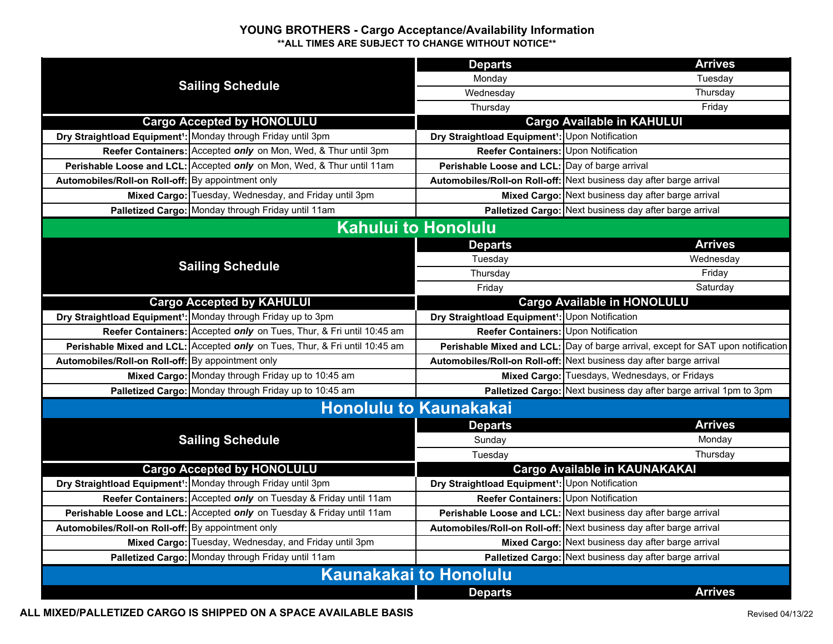| <b>Sailing Schedule</b>                           |                                                                             | <b>Departs</b>                                              | <b>Arrives</b>                                                                   |  |  |
|---------------------------------------------------|-----------------------------------------------------------------------------|-------------------------------------------------------------|----------------------------------------------------------------------------------|--|--|
|                                                   |                                                                             | Monday                                                      | Tuesday                                                                          |  |  |
|                                                   |                                                                             | Wednesday                                                   | Thursday                                                                         |  |  |
|                                                   |                                                                             | Thursday                                                    | Friday                                                                           |  |  |
| <b>Cargo Accepted by HONOLULU</b>                 |                                                                             |                                                             | <b>Cargo Available in KAHULUI</b>                                                |  |  |
|                                                   | Dry Straightload Equipment <sup>1</sup> : Monday through Friday until 3pm   | Dry Straightload Equipment <sup>1</sup> : Upon Notification |                                                                                  |  |  |
|                                                   | Reefer Containers: Accepted only on Mon, Wed, & Thur until 3pm              | Reefer Containers: Upon Notification                        |                                                                                  |  |  |
|                                                   | Perishable Loose and LCL: Accepted only on Mon, Wed, & Thur until 11am      | Perishable Loose and LCL: Day of barge arrival              |                                                                                  |  |  |
| Automobiles/Roll-on Roll-off: By appointment only |                                                                             |                                                             | Automobiles/Roll-on Roll-off: Next business day after barge arrival              |  |  |
|                                                   | Mixed Cargo: Tuesday, Wednesday, and Friday until 3pm                       |                                                             | Mixed Cargo: Next business day after barge arrival                               |  |  |
|                                                   | Palletized Cargo: Monday through Friday until 11am                          |                                                             | Palletized Cargo: Next business day after barge arrival                          |  |  |
|                                                   | <b>Kahului to Honolulu</b>                                                  |                                                             |                                                                                  |  |  |
|                                                   |                                                                             | <b>Departs</b>                                              | <b>Arrives</b>                                                                   |  |  |
|                                                   | <b>Sailing Schedule</b>                                                     | Tuesday                                                     | Wednesday                                                                        |  |  |
|                                                   |                                                                             | Thursday                                                    | Friday                                                                           |  |  |
|                                                   |                                                                             | Friday                                                      | Saturday                                                                         |  |  |
| <b>Cargo Accepted by KAHULUI</b>                  |                                                                             |                                                             | <b>Cargo Available in HONOLULU</b>                                               |  |  |
|                                                   | Dry Straightload Equipment <sup>1</sup> : Monday through Friday up to 3pm   | Dry Straightload Equipment <sup>1</sup> : Upon Notification |                                                                                  |  |  |
|                                                   | Reefer Containers: Accepted only on Tues, Thur, & Fri until 10:45 am        | <b>Reefer Containers: Upon Notification</b>                 |                                                                                  |  |  |
|                                                   | Perishable Mixed and LCL: Accepted only on Tues, Thur, & Fri until 10:45 am |                                                             | Perishable Mixed and LCL: Day of barge arrival, except for SAT upon notification |  |  |
| Automobiles/Roll-on Roll-off: By appointment only |                                                                             |                                                             | Automobiles/Roll-on Roll-off: Next business day after barge arrival              |  |  |
|                                                   | Mixed Cargo: Monday through Friday up to 10:45 am                           |                                                             | Mixed Cargo: Tuesdays, Wednesdays, or Fridays                                    |  |  |
|                                                   | Palletized Cargo: Monday through Friday up to 10:45 am                      |                                                             | Palletized Cargo: Next business day after barge arrival 1pm to 3pm               |  |  |
|                                                   | <b>Honolulu to Kaunakakai</b>                                               |                                                             |                                                                                  |  |  |
|                                                   |                                                                             | <b>Departs</b>                                              | <b>Arrives</b>                                                                   |  |  |
|                                                   | <b>Sailing Schedule</b>                                                     | Sunday                                                      | Monday                                                                           |  |  |
|                                                   |                                                                             | Tuesday                                                     | Thursday                                                                         |  |  |
|                                                   | <b>Cargo Accepted by HONOLULU</b>                                           |                                                             | <b>Cargo Available in KAUNAKAKAI</b>                                             |  |  |
|                                                   | Dry Straightload Equipment <sup>1</sup> : Monday through Friday until 3pm   | Dry Straightload Equipment <sup>1</sup> : Upon Notification |                                                                                  |  |  |
|                                                   | Reefer Containers: Accepted only on Tuesday & Friday until 11am             | Reefer Containers: Upon Notification                        |                                                                                  |  |  |
|                                                   | Perishable Loose and LCL: Accepted only on Tuesday & Friday until 11am      |                                                             | Perishable Loose and LCL: Next business day after barge arrival                  |  |  |
| Automobiles/Roll-on Roll-off: By appointment only |                                                                             |                                                             | Automobiles/Roll-on Roll-off: Next business day after barge arrival              |  |  |
|                                                   | Mixed Cargo: Tuesday, Wednesday, and Friday until 3pm                       |                                                             | Mixed Cargo: Next business day after barge arrival                               |  |  |
|                                                   | Palletized Cargo: Monday through Friday until 11am                          |                                                             | Palletized Cargo: Next business day after barge arrival                          |  |  |
| <b>Kaunakakai to Honolulu</b>                     |                                                                             |                                                             |                                                                                  |  |  |
|                                                   |                                                                             | <b>Departs</b>                                              | <b>Arrives</b>                                                                   |  |  |

**ALL MIXED/PALLETIZED CARGO IS SHIPPED ON A SPACE AVAILABLE BASIS**